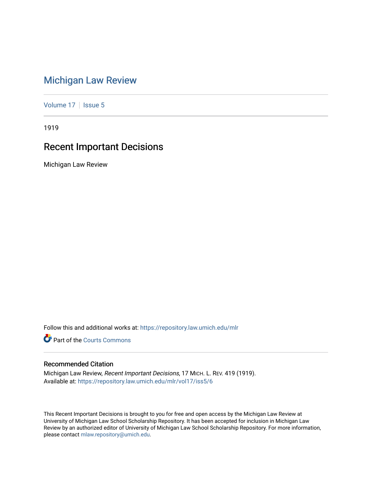## [Michigan Law Review](https://repository.law.umich.edu/mlr)

[Volume 17](https://repository.law.umich.edu/mlr/vol17) | [Issue 5](https://repository.law.umich.edu/mlr/vol17/iss5)

1919

## Recent Important Decisions

Michigan Law Review

Follow this and additional works at: [https://repository.law.umich.edu/mlr](https://repository.law.umich.edu/mlr?utm_source=repository.law.umich.edu%2Fmlr%2Fvol17%2Fiss5%2F6&utm_medium=PDF&utm_campaign=PDFCoverPages) 

**Part of the Courts Commons** 

## Recommended Citation

Michigan Law Review, Recent Important Decisions, 17 MICH. L. REV. 419 (1919). Available at: [https://repository.law.umich.edu/mlr/vol17/iss5/6](https://repository.law.umich.edu/mlr/vol17/iss5/6?utm_source=repository.law.umich.edu%2Fmlr%2Fvol17%2Fiss5%2F6&utm_medium=PDF&utm_campaign=PDFCoverPages)

This Recent Important Decisions is brought to you for free and open access by the Michigan Law Review at University of Michigan Law School Scholarship Repository. It has been accepted for inclusion in Michigan Law Review by an authorized editor of University of Michigan Law School Scholarship Repository. For more information, please contact [mlaw.repository@umich.edu.](mailto:mlaw.repository@umich.edu)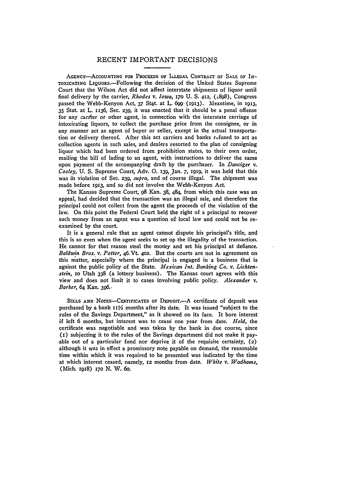## RECENT IMPORTANT DECISIONS

AGENCY-ACCOUNTING FOR PROCEEDS OF ILLEGAL CONTRACT OF SALE OF IN-TOXICATING LIQUORS.-Following the decision of the United States Supreme Court that the Wilson Act did not affect interstate shipments of liquor until final delivery by the carrier, *Rhodes* v. *Iowa,* 170 U. S. 4I2, (,898), Congress passed the Webb-Kenyon Act, 37 Stat. at L. 699 (1913). Meantime, in 1913, 35 Stat. at L. n36, Sec. 239, it was enacted that it should be a penal offense for any carrier or other agent, in connection with the interstate carriage of intoxicating liquors, to collect the purchase price from the consignee, or in any manner act as agent of buyer or seller, except in the actual transporta· tion or delivery thereof. After this act carriers and banks refused to act as collection agents in such sales, and dealers resorted to the plan of consigning liquor which had been ordered from prohibition states, to their own order, mailing the bill of lading to an agent, with instructions to deliver the same upon payment of the accompanying draft by the purchaser. In *Danciger* v. *Cooley,* U. S. Supreme Court, Adv. 0. I39, Jan. 7, I9I9, it was held that this was ih violation of Sec. 239, *supra,* and of course illegal. The shipment was made before I9I3, and so did not involve the Webb-Kenyon Act.

The Kansas Supreme Court, g8 Kan. 38, 484, from which this case was an appeal, had decided that the transaction was an illegal sale, and therefore the principal could not collect from the agent the proceeds of the violation of the law. On this point the Federal Court held the right of a principal to recover such money from an agent was a question of local law and could not be reexamined by the court.

It is a general rule that an agent cannot dispute his principal's title, and this is so even when the agent seeks to set up the illegality of the transaction. He cannot for that reason steal the money and set his principal at defiance. *Baldwin Bros.* v. *Potter,* 46. Vt. 402. But the courts are not in agreement on this matter, especially where the principal is engaged in a business that is against the public policy of the State. *Mexican Int. Banking Co.* v. *Lichtenstein,* IO Utah 338 (a lottery business). The Kansas court agrees with this view and does not limit it to cases involving public policy. *Alexander* v. *Barker,* 64 Kan. *3g6 ..* 

BILLS AND NOTES-CERTIFICATES OF DEPOSIT.-A certificate of deposit was purchased by a bank  $11\frac{1}{2}$  months after its date. It was issued "subject to the rules of the Savings Department," as it showed on its face. It bore interest if left 6 months, but interest was to cease one year from date. *Held,* the certificate was negotiable and was taken by the bank in due course, since (1) subjecting it to the rules of the Savings department did not make it payable out of a particular fund nor deprive it of the requisite certainty,  $(2)$ although it was in effect a promissory note payable on demand, the reasonable time within which it was required to be presented was indicated by the time at which interest ceased, namely, 12 months from date. *White* v. *Wadhams,*  (Mich. 1918) 170 N. W. 6o.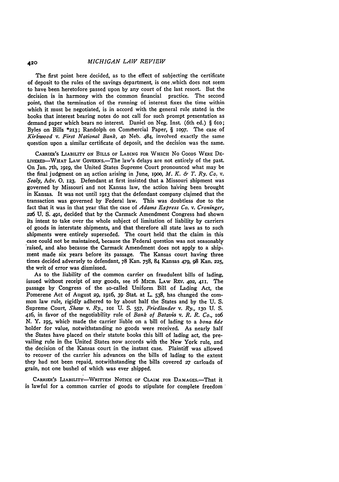The first point here decided, as to the effect of subjecting the certificate of deposit to the rules of the savings department, is one .which does not seem to have been heretofore passed upon by any court of the last resort. But the decision is in harmony with the common financial practice. The second point, that the termination of the running of interest fixes the time within which it must be negotiated, is in accord with the general rule stated in the books that interest bearing notes do not call for such prompt presentation as demand paper which bears no interest. Daniel on Neg. Inst. (6th ed.) § 6rn; Byles on Bills \*2I3; Randolph on Commercial Paper, § I097. The case of *Kirkwood* v. *First National Bank,* 40 Neb. 484, involved exactly the same question upon a similar certificate of deposit, and the decision was the same.

CARRIER'S LIABILITY oN BILLS OF LADING FOR WHICH No Goons WERE DE-LIVERED-WHAT LAW GOVERNS.-The law's delays are not entirely of the past. On Jan. 7th, I9I9, the United States Supreme Court pronounced what may be the final judgment on an action arising in June, I9QO, M. K. & T. *Ry. Co.* v. *Sealy,* Adv. 0. I23. Defendant at first insisted that a Missouri shipment was governed by Missouri and not Kansas law, the action having been brought in Kansas. It was not until 1913 that the defendant company claimed that the transaction was governed by Federal law. This was doubtless due to the fact that it was in that year tfiat the case of *Adams E:rpress Co.* v. *Croninger,*  226 U. s: 49I, decided that by the Carmack Amendment Congress had shown its intent to take over the whole subject of limitation of liability by carriers of goods in interstate shipments, and that therefore all state laws as to such shipments were entirely superseded. The court held that the claim in this case could not be maintained, because the Federal question was not seasonably raised, and also because the Carmack Amendment does not apply to a shipment made six years before its passage. The Kansas court having three times decided adversely to defendant, 78 Kan. 758, 84 Kansas 479, *g8* Kan. 225, the writ of error was dismissed.

As to the liability of the common carrier on fraudulent bills of lading, issued without receipt of any goods, see 16 MICH. LAW REV. 402, 411. The passage by Congress of the so-called Uniform Bill of Lading Act, the Pomerene Act of August *29,* I9I6, 39· Stat. at L. 538, has changed the common law rule, rigidly adhered to by about half the States and by the U. S. Supreme Court, *Shaw* v. *Ry.,* IOI U. S. 557, *Friedlander* v. *Ry.,* I30 U. S. 4I6, in favor of the negotiability rule of *Bank of Batavia* v. *R. R. Co.,* Io6 N. Y. I95, which made the carrier liable on a bill of lading to a *bona fide*  holder for value, notwithstanding no goods were received. As nearly half the States have placed on their statute books this bill of lading act, the prevailing rule in fhe United States now accords with the New York rule, and the decision of the Kansas court in the instant case. Plaintiff was allowed ·to recover of the carrier his advances on the bills of lading to the extent they had not been repaid, notwithstanding the bills covered *27* carloads of grain, not one bushel of which was ever shipped.

CARRIER'S LIABILITY-WRITTEN NOTICE OF CLAIM FOR DAMAGES.-That it is lawful for a common carrier of goods to stipulate for complete freedom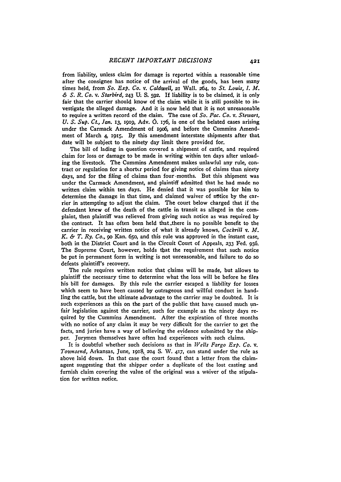from liability, unless claim for damage is reported within a reasonable time after the consignee has notice of the arrival of the goods, has been many times held, from *So. Exp. Co.* v. *Caldwell,* 21 Wall. 264, to *St. Louis, I. M.*  <sup>6</sup>*S. R. Co.* v. *Starbird,* 243 U: S. 592. If liability is to be claimed, it is only fair that the carrier should know of the claim while it is still possible to investigate the alleged damage. And it is now held that it is not unreasonable to require a written record of the claim. The case of *So. Pac. Co.* v. *Stewart,*  U. S. Sup. Ct., Jan. 13, 1919, Adv. O. 176, is one of the belated cases arising under the Carmack Amendment of xgo6, and before the Cummins Amendment of March 4, 1915. By this amendment interstate shipments after that date will be subject to the ninety day limit there provided for.

The bill of lading in question covered a shipment of cattle, and required claim for loss or damage to be made in writing within ten days after unloading the livestock. The Cummins Amendment makes unlawful any rule, contract or regulation for a shorter period for giving notice of claims than ninety days, and for the filing of claims than four months. But this shipment was under the Carmack Amendment, and plaintiff admitted that he had made no written claim within ten days. He denied that it was possible for him to determine the damage in that time, and claimed waiver of notice by the carrier in attempting to adjust the claim. The court below charged that if the defendant knew of the death of the cattle in transit as alleged in the complaint, then plaintiff was relieved from giving such notice as was required by the contract. It has often been held that there is no possible benefit to the carrier in receiving written notice of what it already knows, *Cockrill* v. M. K. & T. Ry. *Co., 90* Kan. 650, and this rule was approved in the instant case, both in the District Court and in the Circuit Court of Appeals, 233 Fed. 956. The Supreme Court, however, holds that the requirement that such notice be put in permanent form in writing is not unreasonable, and failure to do so defeats plaintiff's recovery.

The rule requires written notice that claims will be made, but allows to plaintiff the necessary time to determine what the loss will be before he files his bill for damages. By this rule the carrier escaped a liability for losses which seem to have been caused by outrageous and willful conduct in handling the cattle, but the ultimate advantage to the carrier may be doubted. It is such experiences as this on the part of the public that have caused much unfair legislation against the carrier, such for example as the ninety days required by the Cummins Amendment. After the expiration of three months with no notice of any claim it may be very difficult for the carrier to get the facts, and juries have a way of believing the evidence submitted by the shipper. Jurymen themselves have often had experiences with such claims.

It is doubtful whether such decisions as that in *Wells Fargo Exp. Co.* v. *Townsend,* Arkansas, June, 1918, 204 S. W. 417, can stand under the rule as above laid down. In that case the court found that a letter from the claimagent suggesting that the shipper order a duplicate of the lost casting and furnish claim covering the value of the original was a waiver of the stipulation for written notice.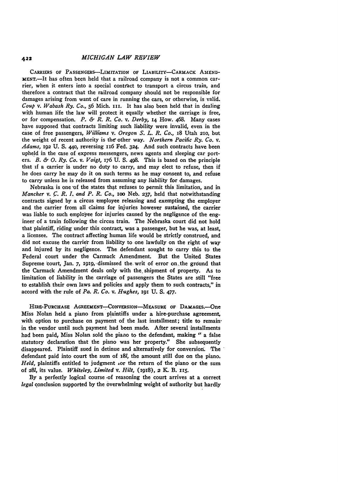CARRIERS OF PASSENGERS-LIMITATION OF LIABILITY-CARMACK AMEND-**MENT.**—It has often been held that a railroad company is not a common carrier, when it enters into a special contract to transport a circus train, and therefore a contract that the railroad company should not be responsible for damages arising from want of care in running the cars, or otherwise, is valid. Coup v. Wabash Ry. Co., 56 Mich. III. It has also been held that in dealing with human life the law will protect it equally whether the carriage is free, or for compensation. *P.* & *R. R. C(}.* v. *Derby,* 14 How • .¢8. Many cases have supposed that contracts limiting such liability were invalid, even in the case of free passengers, *Williams* v. *Oregon S. L. R. Co.,* I8 Utah 210, but the weight of recent authority is the- other way. *Northern Pacific Ry. Co.* v. *Adams,* 192 U. S. 440, reversing II6 Fed. 324- And such contracts have been upheld in the case of express messengers, news agents and sleeping car porters. B. & O. Ry. Co. v. *Voigt*, 176 U. S. 498. This is based on the principle that if a carrier is under no duty to carry, and may elect to refuse, then if he does carry he may do it on such terms as he may consent to, and refuse to carry unless he is released from assuming any liability for damages.

Nebraska is one of the states that refuses to permit this limitation, and in *Mancher* v. C. *R. I. and P. R. Co.,* 100 Neb. *237,* held that notwithstanding contracts signed by a circus employee releasing and exempting the employer and the carrier from all claims for injuries however sustained, the carrier was liable to such employee for injuries caused by the negligence of the engineer of a train following the circus train. The Nebraska court did not hold that plaintiff, riding under this contract, was a passenger, but he was, at least, a licensee. The contract affecting human life would be strictly construed, and did not excuse the carrier from liability to one lawfully on the right of way and injured by its negligence. The defendant sought to carry this to the Federal court under the Carmack Amendment. But the United States Supreme court, Jan. 7, 1919, dismissed the writ of error on the ground that the Carmack Amendment deals only with the. shipment of property. As to limitation of liability in the carriage of passengers the States are still "free to establish their own laws and policies and apply them to such contracts," in accord with the· rule of *Pa. R. Co.* v. *Hughes,* 191 U. S. *477.* 

HIRE-PURCHASE AGREEMENT-CONVERSION-MEASURE OF DAMAGES.-- One Miss Nolan held a piano from plaintiffs under a hire-purchase agreement, with option to purchase on payment of the last installment; title to remain· in the vendor until such payment had been made. After several installments had been paid, Miss Nolan sold the piano to the defendant, making " a false statutory declaration that the piano was her property." She subsequently disappeared. Plaintiff sued in detinue and alternatively for conversion. The · defendant paid into court the sum of 181, the amount still due on the piano. *Held,* plaintiffs entitled to judgment .or the return of the piano or the sum of *281,* its value. *Whiteley, Limited* v. *Hilt,* (1918), *2* K. B. us.

By a perfectly logical course ·of reasoning the court arrives at a correct legal conclusion supported by the overwhelming weight of authority but hardly

422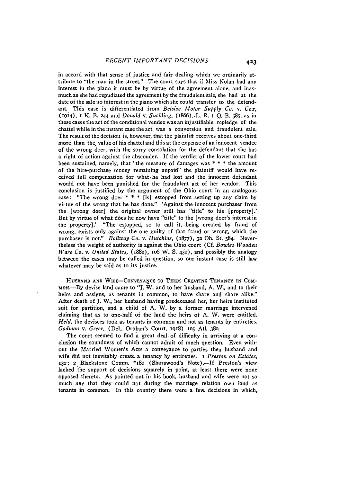in accord with that sense of justice and fair dealing which we ordinarily attribute to "the man in the street." The court says that if Miss Nolan had any interest in the piano it must be by virtue of the agreement alone, and inasmuch as she had repudiated the agreement by the fraudulent sale, she had at the date of the sale no interest in the piano which she could transfer to the defendant. This case is differentiated from *Belsize Motor Supply Co. v. Cox*, (I9i4), I K. B. 244 and *Donald* v. *Suckling,* (I866),.L. R. l Q. B. 585, as in these cases the act of the conditional vendee was an injustifiable repledge of the chattel while in the instant case the act was a conversion and fraudulent sale. The result of the decision is, however, that the plaintiff receives about one-third more than the. value of his chattel and this at the expense of an innocent vendee of the wrong doer, with the sorry consolation for the defendant that she has a right of action against the absconder. If the verdict of the lower court had been sustained, namely, that "the measure of damages was \* \* \* the amount of the hire-purchase money remaining unpaid" the plaintiff would have received full compensation for what· he had lost and the innocent defendant would not have been punished for the fraudulent act of her vendor. This conclusion is justified by the argument of the Ohio court in an analogous case: "The wrong doer  $* * *$  [is] estopped from setting up any claim by virtue of the wrong that he has done." 'Against the innocent purchaser from the [wrong doer] the original owner still has "title" to his [property].' But by virtue of what does he now have "title" to the [wrong doer's interest in the property].' "The estopped, so to call it, .being created by fraud of wrong, exists only against the one guilty of that fraud or wrong, which the purchaser is not." *Railway Co.* v. *Hutchins,* (I877), 32 Oh. St. 584 Nevertheless the weight of authority is against the Ohio court (Cf. *Bowles Wooden Ware Co.* v. *United States,* (I882), Io6 W. *S:* 4j2), and possibly the analogy between the cases may be called in question, so our instant case is still law whatever may be said. as to its justice.

HUSBAND AND WIFE-CONVEYANCE TO THEM CREATING TENANCY IN COM-MON.-By devise land came to "J. W. and to her husband, A. W., and to their heirs and assigns, as tenants in common, to have share and share alike." After death of J. W., her husband having predeceased her, her heirs instituted suit for partition, and a child of A. W. by a former marrrage intervened claiming that as to one-half of the land the heirs of A. \V. were entitled. *Held,* the devisees took as tenants in common and not as tenants by entireties. *God111a11* v. *Greer,* (Del.. Orphan's Court, 19I8) 105 Atl. 38o.

The court seemed to find a great deal· of difficulty in arriving at a conclusion the soundness of which cannot admit of much question. Even without the Married Women's Acts a conveyance to parties then husband and wife did not inevitably create a tenancy by entireties. I Preston on Estates, 132; *2* Blackstone Comm. \*182 (Sharswood's Note).-If Preston's view lacked the support of decisions squarely in point, at least there were none opposed thereto. As pointed out in his book, husband and wife were not so much one that they could not during the marriage relation own land as tenants in common. In this country there were a few decisions in which,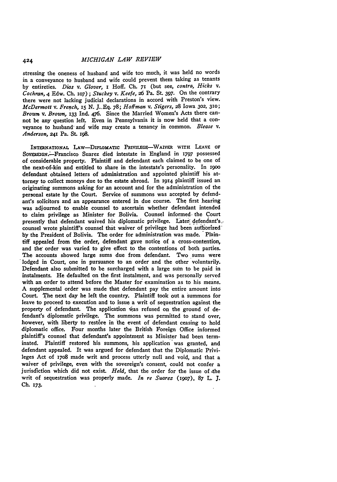stressing the oneness of husband and wife too much, it was held no words in a conveyance to husband and wife could prevent them taking as tenants by entireties. *Dias* v. *Glover,* I Hoff. Ch. 7I (but see, *contra, Hicks* v. *Cochran,4* Edw. Ch. Io7); *Stuckey* v. *Keefe,* 26 Pa. St. 397. On the contrary there were not lacking judicial declarations in accord with Preston's view. *McDermott v. French, 15 N. J. Eq. 78; Hoffman v. Stigers, 28 Iowa 302, 310; Brown* v. *Brown,* 133 Ind. *476.* Since the Married Women's Acts there cannot be any question left. Even in Pennsylvania it is now held that a conveyance to husband· anci wife may create a tenancy in common. *Blease* v. *Anderson,* 24I Pa. St. I98.

INTERNATIONAL LAW-DIPLOMATIC PRIVILEGE-WAIVER WITH LEAVE OF SovEREIGN.-Francisco Suarez died intestate in England in 1797 possessed of considerable property. Plaintiff and defendant each claimed to be one of the next-of-kin and entitled to share in the intestate's personality. In 1900 defendant obtained letters of administration and appointed plaintiff his attorney to collect moneys due to the estate abroad. In I914 plaintiff issued an originating summons asking for an account and for the administration of the personal estate by the Court. Service of summons was accepted by defendant's solicitors and an appearance entered in due course. The first hearing was adjourned to enable counsel to ascertain whether defendant intended to claim privilege as Minister for Bolivia. Counsel informed· the Court presently that defendant waived his diplomatic privilege. Later: defendant's .. counsel wrote plaintiff's counsel that waiver of privilege had been authorized by the President of Bolivia. The order for administration was made. Plaintiff appealed from the order, defendant gave notice of a cross-contention, and the order was varied to give effect to the contentions of both parties. The accounts showed large sums due from defendant. Two sums were lodged in Court, one in pursuance to an order and the other voluntarily. Defendant also submitted to be surcharged with a large suin to be paid in instalments. He defaulted on the first instalment, and was personally served with an order to attend before the Master for examination as to his means. A supplemental order was made that defendant pay the entire amount into Court. The next day he left the country. Plaintiff took out a summons for leave to proceed to execution and to issue a writ of sequestration against the property of defendant. The application was refused on the ground of defendant's diplomatic privilege. The summons was permitted to stand over, however, with liberty to restore in the event of defendant ceasing to hold diplomatic office. Four months later the British Foreign Office informed plaintiff's counsel that defendant's appointment as Minister had been terminated. Plaintiff restored his summons, his application was granted, and defendant appealed. It was argued for defendant that the Diplomatic Privileges Act of I7o8 made writ and process utterly null and void, and that a waiver of privilege, even with the sovereign's consent, could not confer a jurisdiction which did not exist. Held, that the order for the issue of the writ of sequestration was properly made. *In re Suarez* (1907), 87 L. J. Ch. 173.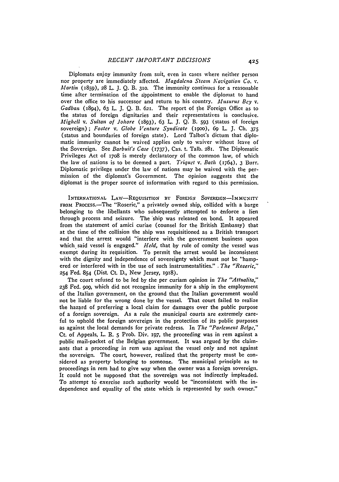Diplomats enjoy immunity from suit, even in cases where neither person nor property are immediately affected. *Magdalena Steam Navigation Co. v. Martin* (1859), 28 L. J. Q. B. 310. The immunity continues for a reasonable time after termination of the appointment to enable the diplomat to hand over the office to his successor and return to his country. *Musurus Bey v. Gadban* (1894), 63 L. J. Q. B. 621. The report of !he Foreign Office as to the status of foreign dignitaries and their representatives is conclusive. *Mighell* v. *Sultan of Johore* (1893), 63 L. *].* Q'. B. 593 (status of foreign sovereign); *Foster v. Globe Venture Syndicate* (1900), 69 L. J. Ch. 375 (status and boundaries of foreign state). Lord Talbot's dictum that diplomatic immunity cannot be waived applies only to waiver without leave of the Sovereign. See *Barbuit's Case* (1737), Cas. t. Talb. 281. The Diplomatic Privileges Act of 17o8 is merely declaratory of the common law, of which the law of nations is to be deemed a part. *Triquet* v. *Bath* (1764), 3 Burr. Diplomatic privilege under the law of nations may be waived with the permission of the diplomat's Government. The opinion suggests that the diplomat is the proper source of information with regard to this permission.

INTERNATIONAL LAW-REQUISITION BY FOREIGN SOVEREIGN-IMMUNITY FROM PROCESS.-The "Roseric," a privately owned ship, collided with a barge belonging to the libellants who subsequently attempted to enforce a lien through process and seizure. The ship was released on bond. It appeared from the statement of amici curiae (counsel for the British Embassy) that at the time of the collision the ship was requisitioned as a British transport and that the arrest would "interfere with the government business upon which said vessel is engaged." *Held*, that by rule of comity the vessel was exempt during its requisition. To permit the arrest would be inconsistent with the dignity and independence of sovereignty which must not be "hampered or interfered with in tbe use of such instrumentalities." . *The "Roseric,"'*  254 Fed. 854 (Dist. Ct. D., New Jersey, 1918).

The court refused to be led by the per curiam opinion in *The "Attualita,"* 238 Fed. 909, which did not recognize immunity for a ship in the employment of the Italian government, on the ground that the Italian government would not be liable for the wrong done by the vessel. That court failed to realize the hazard of preferring a local claim for damages over the public purpose of a foreign sovereign. As a rule the municipal courts are extremely careful to uphold the foreign sovereign in the protection of its public purposes as against the local demands for private redress. In *The "Parlement Belge*," Ct. of Appeals, L. R. 5 Prob. Div. 197, the proceeding was in rem against a public mail-packet of the Belgian government. It was argued by the claimants that a proceeding in rem was against the vessel only and not against the sovereign. The court, however, realized that the property must be considered as property belonging to someone. The municipal principle as to proceedings in rem had to give way when the owner was a foreign sovereign. It could not be supposed that the sovereign was not indirectly impleaded. To attempt to exercise such authority would be "inconsistent with the independence and equality of the state which is represented by such owner."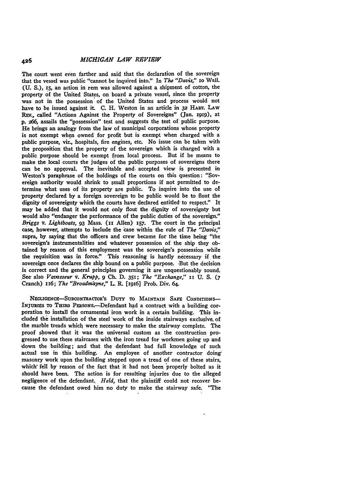The court went even farther and said that the declaration of the sovereign that the vessel was public "cannot be inquired into." In *The "Davis,"* IO Wall. (U. S.), 15, an action in rem was allowed against a shipment of cotton, the property of the United States, on board a private vessel, since the property was not in the possession of the United States and process would not have to be issued against it. C. H. Weston in an article in 32 HARV. LAW Riw., called "Actions Against the Property of Sovereigns" (Jan. 1919), at p. 266, assails the "possession" test and suggests the test of public purpose. He brings an analogy from the law of municipal corporations whose property is not exempt when owned for profit but is exempt when charged with a public purpose, viz., hospitals, fire engines, etc. No issue can be taken with the proposition that the property of the sovereign which is charged with a public purpose should be exempt from local process. But if he means to make the local courts the judges of the publjc purposes of sovereigns there can be no appfoval. The inevitable and. accepted view is presented in Weston's paraphrase of the holdings of the courts on this question: "Sovereign authority would shrink to small proportions if not permitted to determine what uses of its property are public. To inquire into the use ot property declared by a foreign sovereign to be public would be to flout the dignity of sovereignty which the courts have declared entitled· to respect." It may be added that it would not only flout the dignity of sovereignty hut would also "endanger the performance of the public duties of the sovereign." *Briggs* v. *Lightboats,* 93 Mass. (II Allen) 157· The court in the principal case, however, attempts to include the case within the rule of *The "Davis,"* supra, by saying that the officers and crew became for the time being "the sovereign's instrumentalities and whatever possession of the ship they obtained by reason of this employment was the sovereign's possession while the requisition was in force." This reasoning is hardly necessary if the sovereign once declares the ship bound on a public purpose. But the decision is correct and the general principles governing it are unquestionably sound. . See· also *V avasseur* v. Krupp, *9* Ch. D. 351; *The "Exchange,"* II U. S. (7 Cranch) u6; *The "Broadmayne,''* L. R. [1916] Prob. Div. 64

NEGLIGENCE-SUBCONTRACTOR'S DUTY TO MAINTAIN SAFE CONDITIONS-INJURIES TO THIRD PERSONS.—Defendant had a contract with a building corporation to install the ornamental iron work in a certain building. This included the installation of the steel work of the inside stairways exclusive of the marble treads which were necessary to make the stairway complete. The proof showed that it was the universal custom as the construction progressed to use these staircases with the iron tread for workmen going up and 'down the building; and that the defendant had full knowledge of such actual use in this building. An employee of another contractor doing' masonry work upon the building stepped upon a tread of one of these stairs, which' fell by reason of the fact that it had not been properly bolted as it should have been. The action is for resulting injuries due to the alleged negligence of the defendant. Held, that the plaintiff could not recover because the defendant owed him no duty to make the stairway safe. "The

426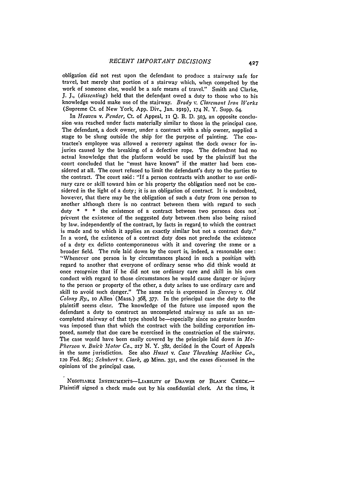obligation did not rest upon the defendant to produce a stairway safe for travel, but merely that portion of a stairway which, when compelted by the work of someone else, would be a safe means of travel." Smith and Clarke, J. J., *(dissenting)* held that the defenqant owed a duty to those who to his knowledge would make use of the stairway. *Brady v. Claremont Iron Works* (Supreme Ct. of New York, App. Div., Jan. 1919), 174 N. Y. Supp. 64

In *Heaven* v. *Pender,* Ct. of Appeal, II Q. B. D. 503, an opposite conclusion was reached under facts materially similar to those in the principal case. The defendant, a dock owner, under a contract with a ship owner, supplied a stage to be slung outside the ship for the purpose of painting. The contractee's employee was allowed a recovery against the dock owner for injuries caused by the breaking of a defective rope. The defendant had no actual knowledge that the platform would be used by the plaintiff but the court concluded that he "must have known" if the matter had been considered at all. The court refused to limit the defendant's duty to the parties to the contract. The court said: ·•If a person contracts with another to use ordinary care or skill toward him or his property the obligation need not be considered in the light of a duty; it is an obligation of contracf. It is undoubted, however, that there may be the obligation of such a duty from one person to another although there is no contract between them with regard to such duty \* \* \* the existence of a contract between two persons does not. prevent the existence of the suggested duty between them also being raised by !aw. independently of the contract, by facts in regard to which the contract is made and to which it applies an exactly similar but not a contract duty." In a word, the existence of a contract duty does not preclude the existence of a duty ex delicto contemporaneous with it and covering the same or a broader field. The ntle laid down by the court is, indeed, a reasonable one: ''Whenever one person is by circumstances placed in such a position with regard to another that everyone of ordinary sense who did think would at once recognize that if he did not use ordinary care and skill in his own conduct with regard to those circumstances he would cause danger.or injury to the person or property of the other, a duty arises to use ordinary care and skill to avoid such danger." The same rule is expressed in *Sweeny* v. *Old Colony Ry., Io Allen* (Mass.) 368, 377. In the principal case the duty to the plaintiff seems clear. The knowledge of the future use imposed upon the defendant a duty to construct an uncompleted stairway as safe as an uncompleted stairway of that type should be-especially since no greater burden was imposed than that which the contract with the building corporation imposed, namely that due care be exercised in the construction of the stairway. The case would have been easily covered by the principle laid down in *Mc-Pherson v. Buick Motor Co., 217 N.Y. 382, decided in the Court of Appeals* in the same jurisdiction. See also Huset v. Case Threshing Machine Co., I.20 Fed. 865; *Schubert* v. *Clark,* 49 Minn. 331, and the cases discussed in the opinions 'of the .principal case.

NEGOTIABLE INSTRUMENTS-LIABILITY OF DRAWER OF BLANK CHECK.-Plaintiff signed a check made out by his confidential clerk. At the time, it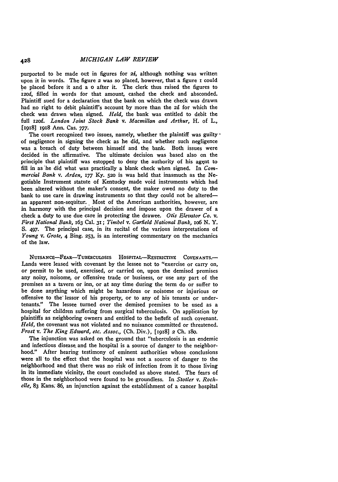purported to be made out in figures for  $2f$ , although nothing was writter. upon it in words. The figure 2 was so placed, however, that a figure I could be placed before it and a o after it. The clerk thus raised the figures to 120£, filled in words for that amount, cashed the check and absconded. Plaintiff sued for a declaration that the bank on which the check was drawn had no right to debit plaintiff's account by more than the  $2E$  for which the check was drawn when signed. *Held,* the bank was entitled to debit the full 120£. *London Joint Steck Bank* v. *Macmillan and Arthur,* H. of L., [1918] 1918 Ann. Cas. *777.* 

The court recognized two issues, namely, whether the plaintiff was guilty of negligence in signing the check as he did, and whether such negligence was a breach of duty between himself and the bank. Both issues were decided in the affirmative. The ultimate decision was based also on the principle that plaintiff was estopped to deny the authority of his agent to fill in as "he did what was practically a blank check when signed. In *Commercial Bank* v. *Arden,* 177 Ky. 520 is was held that inasmuch as the Negotiable Instrument statute of Kentucky made void instruments which had been altered without the maker's consent, the maker owed no duty to the bank to use care in drawing instruments so that they could not be alteredan apparent non-sequitur. Most of the American authorities, however, are in harmony with the principal decision and impose upon the drawer of a check a duty to use due care in protecting the drawee. *Otis Elevator Co.* v. *First National Bank,* 163 Cal. 31; *Timbel* v. *Garfield National Bank,* 100 N. Y. S. 497. The principal case, in its recital of the various interpretations of *Young* v. *Grote,* 4 Bing. 253, is an interesting commentary on the mechanics of the law.

NUISANCE-FEAR-TUBERCULOSIS HOSPITAL-RESTRICTIVE COVENANTS.-Lands were leased with covenant by the lessee not to "exercise or carry on, or permit to be used, exercised, or carried on, upon the demised premises any noisy, noisome, or offensive trade or business, or use any part of the premises as a tavern or inn, or at any time during the term do or suffer to lie done anything which might be hazardous or noisome or injurious or offensive to the lessor of his property, or to any of his tenants or undertenants." The lessee turned over the demised premises to be used as a hospital for children suffering from surgical tuberculosis. On application by plaintiffs as neighboring owners and entitled to the beffefit of such covenant. Held, the covenant was not violated and no nuisance committed or threatened. *Frost\_* v. *The King Edward, etc. Assoc.,* (Ch. Div.), [1918] *2* Ch. 18o.

The injunction was asked on the ground that "tuberculosis is an endemic and infectious disease and the hospital is a source of danger to the neighborhood." After hearing testimony of eminent authorities whose conclusions were all to the effect that the hospital was not a source of danger to the neighborhood and that there was no risk of infection from it to those living in its immediate vicinity, the court concluded as above stated. The fears of those in the neighborhood were found to be groundless. In *Stotler* v. *Rochelle,* 83 Kans: 86, an injunction against the establishment of a cancer hospital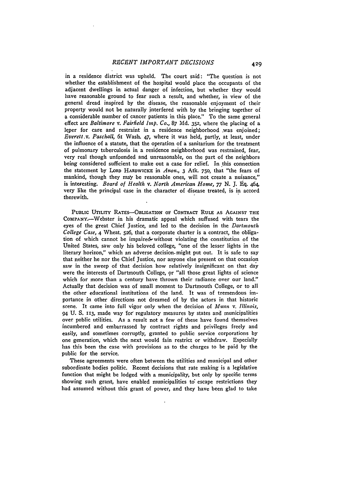in a residence district was upheld. The court said: "The question is not whether the establishment of the hospital would place the occupants of the adjacent dwellings in actual danger of infection, but whether they would have reasonable ground to fear such a result, and whether, in view of the general dread inspired by the disease, the reasonable enjoyment of their property would not be naturally interfered with by the bringing together of a considerable number of cancer patients in this place." To the same general effect are *Baltimore v. Fairfield Imp. Co.*, 87 Md. 352, where the placing of a leper for care and restraint in a residence neighborhood was enjoined; *Everett.* v. *Paschall,* 6I Wash. 47, where it was held, partly, at least, under the influence of a statute, that the operation of a sanitarium for the treatment of pulmonary tuberculosis in a residence neighborhood was restrained, fear, very real though unfounded and unreasonable, on the part of the neighbors being considered sufficient to make out a case for relief. In this connection the statement by LoRD HARDWICK£ in *Anon.,* 3 Atk. 750, that "the fears of mankind, though they may be reasonable ones, will not create a nuisance," is interesting. *Board of Health* v. *North American Home,* 77 N. J. Eq. 464, very like the principal case in the character of disease treated, is in accord therewith.

PUBLIC UTILITY RATES-OBLIGATION OF CONTRACT RULE AS AGAINST THE CoMPANY.-Webster in his dramatic appeal which suffused with tears the eyes of the great Chief Justice, and led to the decision in the *Dartmouth College Case,* 4 Wheat. 526, that a corporate charter is a contract, the obligation of which cannot be impaired without violating the constitution of the United States, saw only his beloved college, "one of the lesser lights in the literary horizon," which an adverse decision.might put out. It is safe to say that neither he nor the Chief Justice, nor anyone else present on that occasion saw in the sweep of that decision how relatively insignificant on that day were the interests of Dartmouth College, *gr* "all those great lights of science which for more than a century have thrown their radiance over our land." Actually that decision was of small moment to Dartmouth College, or to all the other educational institutions of the land. It was of tremendous importance in other directions not dreamed of by the actors in that historic scene. It came into full vigor only when the decision of *Munn v. Illinois*, 94 U. S. II3, made way for' regulatory measures by states and municipalities over public utilities. As a result not a few of these have found themselves incumbered and embarrassed by contract rights and privileges freely and easily, and sometimes corruptly, granted to public service corporations by one generation, which the next would fain restrict or withdraw. Especially has this been the case with provisions as to the charges to be paid by the public for the service.

These agreements were often between the utilities and municipal and other subordinate bodies politic. Recent decisions that rate making is a legislative function that might be lodged with a municipality, but only by specific terms showing such grant, have enabled municipalities to escape restrictions they had assumed without this grant of power, and they have been glad to take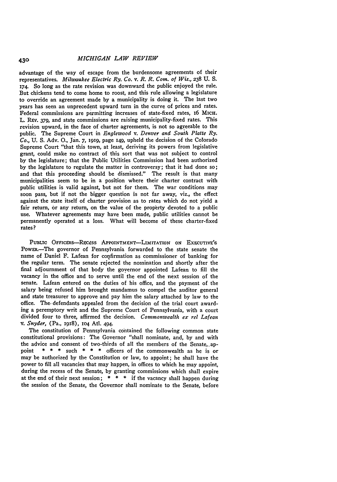advantage of the way of escape from the burdensome agreements of their representatives. *Milwaukee Electric Ry. Co.* v. *R.R. Com. of Wis.,* 238 U. S. 174 So long as the rate revision was downward the public enjoyed the rule. But chidcens tend to come home to roost, and this rule allowing a legislature to override an agreement made by a municipality is doing it. The last two years has seen an unprecedent upward turn in the curve of prices and rates. Federal commissions are permitting increases of state-fixed rates, 16 MICH. L. Rev. 379, and state commissions are raising municipality-fixed rates. This revision upward, in the face of charter agreements, is not so agreeable to the public. The Supreme Court in *Englewood* v. *Denver and South Platte Ry. Co.,* U. S. Adv. 0., Jan. *7,* 1919, page 149, upheld the decision of the Colorado Supreme Court "that this town, at least, deriving its powers from legislative grant, could make no contract of this sort that was not subject to control by the legislature; that the Public Utilities Commission had been authorized by the legislature to regulate the matter in controversy; that it had done so; and that this proceeding should be dismissed." The result is that many municipalities seem to be in a position where their charter contract with public utilities is valid against, but not for them. The war conditions may soon pass, but if not the bigger question is not far away, viz., the effect against the state itself of charter provision as to rates which do not yield a fair return, or any return, on the value of the property devoted to a public use. Whatever agreements may have been made, public utilities cannot be permanently operated at a loss. What will become of these charter-fixed rates?

PUBLIC OFFICERS-RECESS APPOINTMENT-LIMITATION ON EXECUTIVE'S PowER.-The governor of Pennsylvania forwarded to the state senate the name of Daniel F. Lafean for confirmation as commissioner of banking for the regular term. The senate rejected the nomination and shortly after the final adjournment of that body the governor appointed Lafean to fill the vacancy in the office and to serve until the end of the next session of the senate. Lafean entered on the duties of his office, and the payment of the salary being refused him brought mandamus to compel the auditor general and state treasurer to approve and pay him the salary attached by law to the office. The- defendants appealed from the decision Qf the trial court awarding a peremptory writ and the Supreme Court of Pennsylvania, with a court divided four to three, affirmed the decision. *Commonwealth ex rel Lafean*  v. *Snyder,* (Pa., 1918), 104 Atl. 494.

The constitution of Pennsylvania contained the following common state constitutional provisions: The Governor "shall nominate, and, by and with the advice and consent of two-thirds of all the members of the Senate,.appoint \* \* \* such \* \* \* officers of the commonwealth as he is or may be authorized by the Constitution or law, to appoint; he shall have the power to fill all vacancies that may happen, in offices to which he may appoint, during the recess of the Senate, by granting commissions which shall expire at the end of their next session;  $* * *$  if the vacancy shall happen during the session of the Senate, the Governor shall nominate to the Senate, before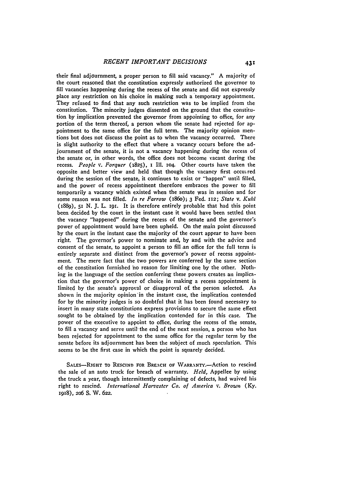their final adjournment, a proper person to fill said vacancy." A majority of the court reasoned that the constitution expressly authorized the governor to fill vacancies happening during the recess of the senate and did not expressly place any restriction on his choice in making such a temporary appointment. They refused to find that any such restriction was to be implied from the constitution. The minority judges dissented on the ground that the constitution by implication prevented the governor from appointing to office, for any portion of the term thereof, a person whom the senate had rejected for appointment to the same office for the full term. The majority opinion mentions but does not discuss the point as to when the vacancy occurred. There is slight authority to the effect that where a vacancy occurs before the adjournment of the senate, it is not a vacancy happening during the recess of the senate or, in other words, the office does not become vacant during the recess. *People v. Forquer* (1825), I III. 104. Other courts have taken the opposite and better view and held that though the vacancy first occu; red during the session of the senate, it continues to exist or '"happen" until filled, and the power of recess appointment therefore embraces the power to fill temporarily a vacancy which existed when the senate was in session and for some reason was not filled. Jn *re Farrow* (186o)} 3 Fed. 112; *State* v. *Kulil*  (1889), 51 N. J. L. 191. It is therefore entirely probable that had this point been decided by the court in the instant case it would have been settled that the vacancy "happened" during the recess of the senate and the governor's power of appointment would have been upheld. On the main point discussed by the court in the instant case the majority of the court appear to have been right. The governor's power to nominate and, by and with the advice and consent of the senate, to appoint a person to fill .an office for the full tenn is entirely separate and distinct from the governor's power of recess appointment. The mere fact that the two powers are conferred by the same section of the constitution furnished ho reason for limiting one by the other. Nothing in the language of the section conferring these powers creates an implication that the governor's power of choice in making a recess appointment is limited by the senate's approval or disapproval of the person selected. As shown in the majority opinion 'in the instant case, the implication contended for by the minority judges is so doubtful that it has been found necessary to insert in many state constitutions express provisions to secure the same effect sought to be obtained by the implication contended for in this case. The power of the executive to appoint to office, during the recess of the senate, to fill a vacancy and serve until the end of the next session, a person who has been rejected for appointment to the same office for the regular term by the senate before its adjournment has been the subject of much speculation. This seems to be the first case in which the point is squarely decided.

SALES-RIGHT TO RESCIND FOR BREACH OF WARRANTY.-Action to rescind the sale of an auto truck for breach of warranty. *Held,* Appellee by using the truck a year, though intermittently complaining of defects, had waived his right to rescind. *lllternatio11al Haroester Co. of America* \". *Brown* (Ky. 1918), 2o6 s. w. 622.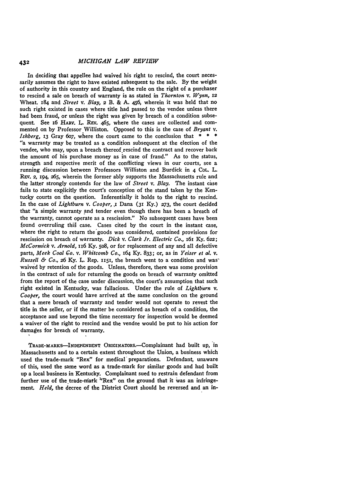In deciding that appellee had waived his right to rescind, the court necessarily assumes the right to have existed subsequent to the sale. By the weight of authority in this country and England, the rule on the right of a purchaser to rescind a sale on breach of warranty is as stated in *Thornton* v. *Wynn,* 12 Wheat. 184 and *Street* v. *Blay,* 2 B. & A. 456, wherein it was held that no such right existed in cases where title had passed to the vendee unless there had been fraud, or unless the right was given by breach of a condition subsequent. See 16 HARV. L. REY. 465, where the cases are collected and commented on by Professor Williston. Opposed to this is the case of *Bryant* v. *Ishberg*, 13 Gray 607, where the court came to the conclusion that \* \* \* "a warranty may be treated as a condition subsequent at the election of the vendee, who may, upon a breach thereof rescind the contract and recover back the amount of his purchase money as in case of fraud." As to the status, strength and respective merit of the conflicting views in our courts, see a running discussion between Professors Williston and Burdick in 4 CoL. L. Rev. 2, 194,  $265$ , wherein the former ably supports the Massachusetts rule and the latter strongly contends for the law of *Street* v. *Blay.* The instant case fails to state explicitly the court's conception of the stand taken by the Kentucky courts on the question. Inferentially it holds to the right to rescind. In the case of *Lightburn v. Cooper*, *I* Dana (31 Ky.) 273, the court decided that "a simple warranty and tender even though there has been a breach of the warranty, cannot operate as a rescission." No subsequeqt cases have been found overruling this case. Cases cited by the court in the instant case, where the right to return the "goods was considered, contained provisions for rescission on breach of warranty. *Dick* v. *Clark Jr. Electric Co.,* 161 Ky. 622; *McCormick* v. *Arnold,* n6 Ky. 5o8, or for replacement of any and all defective parts, *Meek Coal Ge.* v. *Whitcomb Co.,* 164 Ky. 833; or, as in *Yeiser et* al. v. *Russell* & *Cc.,* 26 Ky. L. Rep. n51, the breach went to a condition and was' waived by retention of the goods. Unless, therefore, there was some provision in the contract of sale for returning the goods on breach of warranty omitted from the report of the case under discussion, the court's assumption that such right existed in Kentucky, was fallacious. Under the rule of *Lightburn* v. *Ccoper,* the court would have arrived at the same conclusion on the ground that a mere breach of warranty and tender would not operate to revest the title in the seller, or if the matter be considered -as breach of a condition, the acceptance and use beyond the time necessary for inspection would be deemed a waiver of the right to rescind and the vendee would be put to his action for damages for breach of warranty.

TRADE-MARKS-INDEPENDENT ORIGINATORS. Complainant had built up, in Massachusetts and to a certain extent throughout the Union, a business which used the trade-mark "Rex" for medical· preparations. Defendant, unaware of this, used the same word as a trade-mark for similar goods and had built up a local business in Kentucky. Complainant sued to restrain defendant from further use of the trade-mark "Rex" on the ground that it was an infringement. *Held,* the decree of the District Court should be reversed and an in-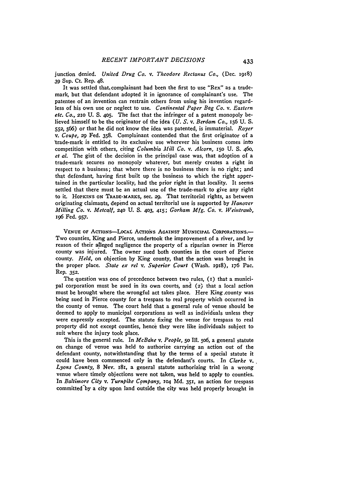junction denied. *United Drug Co.* v. *Theodore Rectanus Co.,* (Dec. 1918) 39 Sup. Ct. Rep. 48.

It was settled that, complainant had been the first to use "Rex" as a trademark, but that defendant adopted it in ignorance of complainant's use. The patentee of an invention can restrain others from using his invention regardless of his own use or neglect to use. *Continental Paper Bag Co.* v. *Eastern etc. Co.,* 210 U. S. 405. The fact that the infringer of a patent monopoly believed himself to be the originator of the idea (U.S. v. *Berdam Co.,* 156 U. S. 552, 566) or that he did not know the idea was patented, is immaterial. *Royer*  v. *Coupe,* 29 Fed. 358. Cemplainant contended that the first originator of a 'trade-mark is entitled to its exclusive use wherever his business comes into competition with others, citing *Columbia Mill Co. v. Alcorn*, 150 U. S. 460, *et al.* The gist of the decision in the principal case was, that adoption of a trade-mark secures no monopoly whatever, but merely creates a right in respect to a business; that where there is no business there is no right; and that defendant, having first built up the business to which the right appertained *in* the particular locality, had the prior right in that locality. It seems settled that there must be an actual use of the trade-mark to give any right to it. HOPKINS ON TRADE-MARKS, sec. 29. That territorial rights, as between originating claimants, depend on actual territorial use is supported by *Hanover Milling Co. v. Metcalf, 240 U. S. 403, 415; Gorham Mfg. Co. v. Weintraub,* 196 Fed. 957.

VENUE OF ACTIONS-LOCAL ACTIONS AGAINST MUNICIPAL CORPORATIONS.-Two counties, King and Pierce, undertook the improvement of a river, and by reason of their atleged negligence the property of a riparian owner in Pierce county was injured. The owner sued both counties in the court- of Pierce county. *Held,* on objection by King county, that the action was brought in the proper place. *State ex rel* v. *Superior Court* (Wash. I9I8), I76 Pac. Rep. 352.

The question was one of precedence between two rules, (r) that a municipal corporation must be sued in its own courts, and (2) that a local action must be brought where the -wrongful act takes place. Here King .county was being sued in Pierce county for a trespass to real property which occurred in the county of venue. The court held that a general rule of venue should be deemed to apply to municipal corporations as well as individuals unless they were expressly excepted. The statute fixing the venue for trespass to real property did not except counties, hence they were like individuals subject to suit where the injury took place.

This is the general rule. In *McBane* v. *People,* 50 Ill. 5o6, a general statute on change of venue was held to authorize carrying an action out of the defendant county, notwithstanding that by the terms of a special statute it could have been commenced only in the defendant's courts. In *Clarke* v. *Lyons County,* 8 Nev. 18I, a general statute authorizing trial in a wrong venue where timely objections were not taken, was held to apply to counties. In *Baltimore City* v. *Turnpike Cpmpany,* 104 Md. 351, an action for trespass committed-by a city upon land outside the city was held properly brought in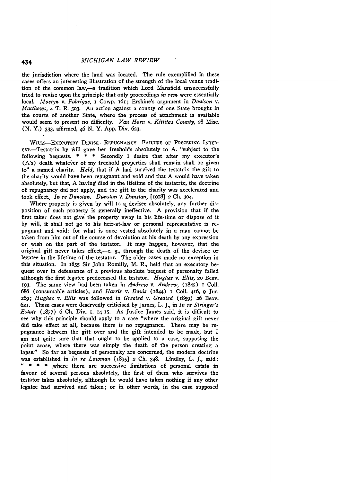the jurisdiction where the land was located. The rule exemplified in these cases offers an inferesting illustration of the strength of the local venue tradition of the common law,-a tradition which Lord Mansfield unsuccessfully tried to revise upon the principle that only proceedings *in rem* were essentially local. *Mostyn* v. *Fabrigas,* 1 Cowp. 161 ; Erskine's argument in *Dou/son* v. *Matthews,* 4 T. R. 503. An action against a county of one State brought in the courts of another State, where the process of attachment is available would seem to present no difficulty. *Van Ham* v. *Kittitas County,* 28 Misc. (N. Y.) 333, affirmed, 46 N. Y. App. Div. 623.

WILLS-EXECUTORY DEVISE-REPUGNANCY-FAILURE OF PRECEDING INTER-£ST.-Testatrix by will gave her freeholds absolutely to A. "subject to the following bequests.  $* * *$  Secondly I desire that after my executor's (A's) death whatever of my freehold properties shall remain shall be given to" a named charity. *Held,* that if A had survived the testatrix the gift to the charity would have been repugnant and void and that A would have taken absolutely, but that, A having died in the lifetime of the testatrix, the doctrine of repugnancy did not apply, and the gift to the charity was accelerated and took effect.. *In re Dunstan. Dunstan* v. *Dunstan,* [1918] 2 Ch. 304-

Where property is given by will to a devisee absolutely, any further disposition of such property is generally ineffective. A provision that if the first taker does not give the property away in his life-time or dispose of it by will, it shall not go to his heir-at-law or personal representative is repugnant and void; for what is once vested absolutely in a man cannot be taken from him out of the course of devolution at his death by any expression or wish on the part of the testator. It may happen, however, that the original gift never takes effect,-e. g., through the death of the devisee or legatee in the lifetime of the testator. The older cases made no exception in this situation. In 1855 Sir John Romilly, M. R., held that an executory bequest over in defeasance of a previous absolute bequest of personalty failed although the first legatee predeceased the testator. *Hughes* v. Ellis, 20 Beav. 193. The same view had been taken in *Andrew* v. *Andrew,* (1845) 1 Coll. 686 (consumable articles), and *Harris* v. *Davis* (1844) 1 Coll. 416, 9 Jur. 269; *Hughes* v. *Ellis* was followed in *Created* v. *Created* (1859) 26 Beav. 621. These cases were deservedly criticised by James, L. J., in *In re Stringer's Estate* (1877) 6 Ch. Div. 1, 14-15. As Justice James said, it is difficult to see why this principle should apply to a case "where the original gift never did take effect at all, because there is no repugnance. There may be repugnance between the gift over and the gift intended to be made, but I am not quite sure that that ought to be applied to a case, supposing the point arose, where there was simply the death of the person creating a lapse." So far as bequests of personalty are concerned, the modern doctrine was established in *In re Lowman* [1895] 2 Ch. 348. Lindley, L. J., said:  $" * * *$  where there are successive limitations of personal estate in favour of several persons absolutely, the first of them who survives the testator takes absolutely, although he would have taken nothing if any other legatee had survived and taken ; or in other words, in the case supposed